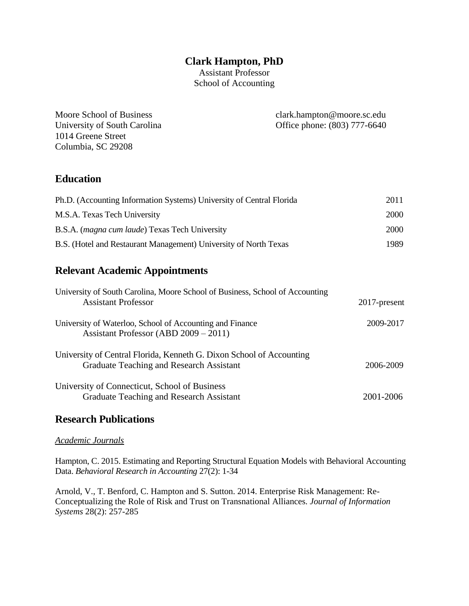# **Clark Hampton, PhD**

Assistant Professor School of Accounting

Moore School of Business clark.hampton@moore.sc.edu University of South Carolina Office phone: (803) 777-6640 1014 Greene Street Columbia, SC 29208

### **Education**

| Ph.D. (Accounting Information Systems) University of Central Florida | 2011        |
|----------------------------------------------------------------------|-------------|
| M.S.A. Texas Tech University                                         | <b>2000</b> |
| B.S.A. ( <i>magna cum laude</i> ) Texas Tech University              | 2000        |
| B.S. (Hotel and Restaurant Management) University of North Texas     | 1989        |

# **Relevant Academic Appointments**

| University of South Carolina, Moore School of Business, School of Accounting<br><b>Assistant Professor</b>       | 2017-present |
|------------------------------------------------------------------------------------------------------------------|--------------|
| University of Waterloo, School of Accounting and Finance<br>Assistant Professor (ABD 2009 – 2011)                | 2009-2017    |
| University of Central Florida, Kenneth G. Dixon School of Accounting<br>Graduate Teaching and Research Assistant | 2006-2009    |
| University of Connecticut, School of Business<br>Graduate Teaching and Research Assistant                        | 2001-2006    |

# **Research Publications**

#### *Academic Journals*

Hampton, C. 2015. Estimating and Reporting Structural Equation Models with Behavioral Accounting Data. *Behavioral Research in Accounting* 27(2): 1-34

Arnold, V., T. Benford, C. Hampton and S. Sutton. 2014. Enterprise Risk Management: Re-Conceptualizing the Role of Risk and Trust on Transnational Alliances. *Journal of Information Systems* 28(2): 257-285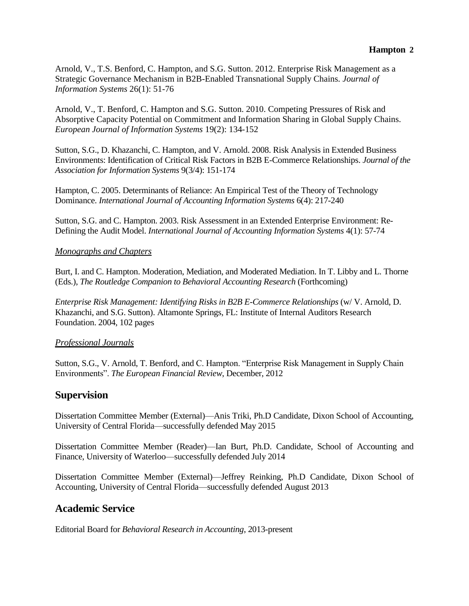Arnold, V., T.S. Benford, C. Hampton, and S.G. Sutton. 2012. Enterprise Risk Management as a Strategic Governance Mechanism in B2B-Enabled Transnational Supply Chains. *Journal of Information Systems* 26(1): 51-76

Arnold, V., T. Benford, C. Hampton and S.G. Sutton. 2010. Competing Pressures of Risk and Absorptive Capacity Potential on Commitment and Information Sharing in Global Supply Chains. *European Journal of Information Systems* 19(2): 134-152

Sutton, S.G., D. Khazanchi, C. Hampton, and V. Arnold. 2008. Risk Analysis in Extended Business Environments: Identification of Critical Risk Factors in B2B E-Commerce Relationships. *Journal of the Association for Information Systems* 9(3/4): 151-174

Hampton, C. 2005. Determinants of Reliance: An Empirical Test of the Theory of Technology Dominance. *International Journal of Accounting Information Systems* 6(4): 217-240

Sutton, S.G. and C. Hampton. 2003. Risk Assessment in an Extended Enterprise Environment: Re-Defining the Audit Model. *International Journal of Accounting Information Systems* 4(1): 57-74

#### *Monographs and Chapters*

Burt, I. and C. Hampton. Moderation, Mediation, and Moderated Mediation. In T. Libby and L. Thorne (Eds.), *The Routledge Companion to Behavioral Accounting Research* (Forthcoming)

*Enterprise Risk Management: Identifying Risks in B2B E-Commerce Relationships* (w/ V. Arnold, D. Khazanchi, and S.G. Sutton). Altamonte Springs, FL: Institute of Internal Auditors Research Foundation. 2004, 102 pages

#### *Professional Journals*

Sutton, S.G., V. Arnold, T. Benford, and C. Hampton. "Enterprise Risk Management in Supply Chain Environments". *The European Financial Review*, December, 2012

### **Supervision**

Dissertation Committee Member (External)—Anis Triki, Ph.D Candidate, Dixon School of Accounting, University of Central Florida—successfully defended May 2015

Dissertation Committee Member (Reader)—Ian Burt, Ph.D. Candidate, School of Accounting and Finance, University of Waterloo—successfully defended July 2014

Dissertation Committee Member (External)—Jeffrey Reinking, Ph.D Candidate, Dixon School of Accounting, University of Central Florida—successfully defended August 2013

## **Academic Service**

Editorial Board for *Behavioral Research in Accounting*, 2013-present